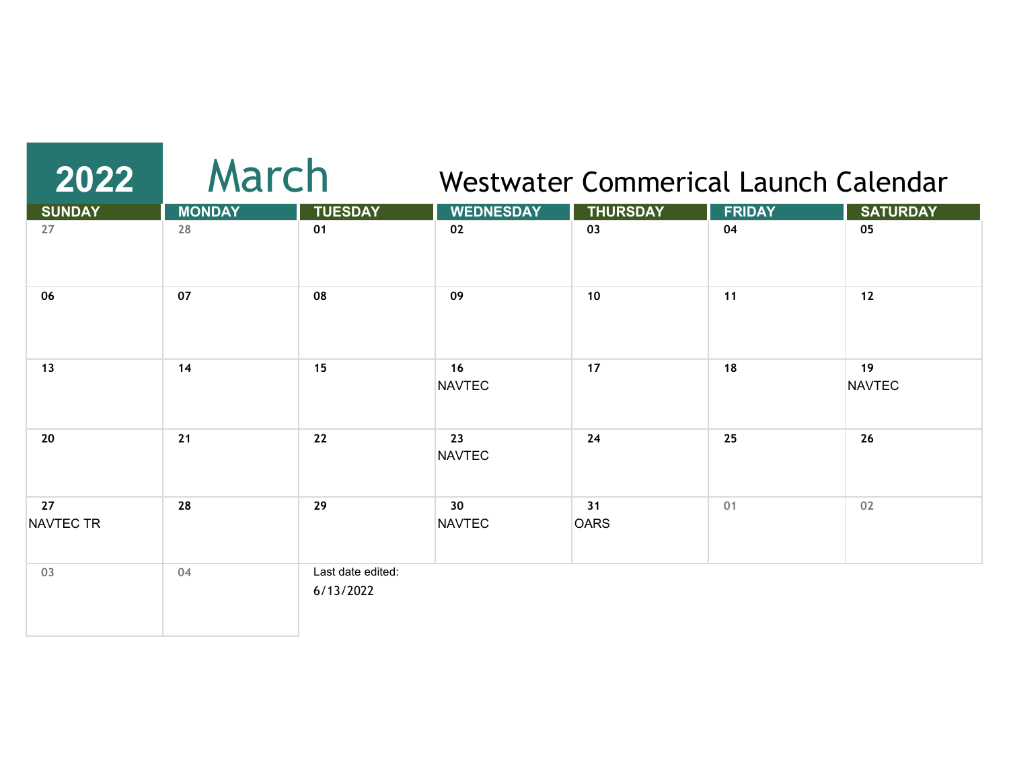# **2022** March

#### Westwater Commerical Launch Calendar

| <b>SUNDAY</b>   | <b>MONDAY</b> | <b>TUESDAY</b>                 | <b>WEDNESDAY</b>    | <b>THURSDAY</b>   | <b>FRIDAY</b> | <b>SATURDAY</b>     |
|-----------------|---------------|--------------------------------|---------------------|-------------------|---------------|---------------------|
| 27              | 28            | 01                             | 02                  | 03                | 04            | 05                  |
| 06              | 07            | 08                             | 09                  | 10                | 11            | $12$                |
| 13              | 14            | 15                             | 16<br><b>NAVTEC</b> | 17                | 18            | 19<br><b>NAVTEC</b> |
| 20              | 21            | 22                             | 23<br><b>NAVTEC</b> | 24                | 25            | 26                  |
| 27<br>NAVTEC TR | 28            | 29                             | 30<br><b>NAVTEC</b> | 31<br><b>OARS</b> | 01            | 02                  |
| 03              | 04            | Last date edited:<br>6/13/2022 |                     |                   |               |                     |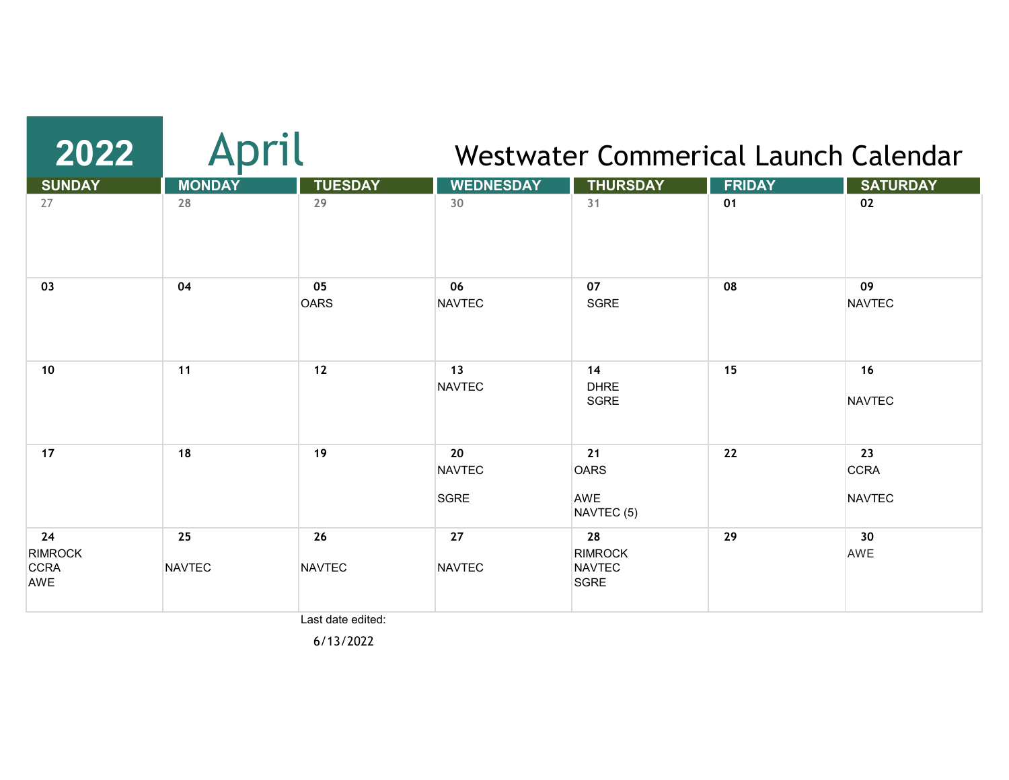| 2022                                       |                     | oril                | Westwater Commerical Launch Calendar |                                                      |               |                                    |  |  |
|--------------------------------------------|---------------------|---------------------|--------------------------------------|------------------------------------------------------|---------------|------------------------------------|--|--|
| <b>SUNDAY</b>                              | <b>MONDAY</b>       | <b>TUESDAY</b>      | <b>WEDNESDAY</b>                     | <b>THURSDAY</b>                                      | <b>FRIDAY</b> | <b>SATURDAY</b>                    |  |  |
| 27                                         | 28                  | 29                  | 30                                   | 31                                                   | 01            | 02                                 |  |  |
| 03                                         | 04                  | 05<br><b>OARS</b>   | 06<br>NAVTEC                         | 07<br><b>SGRE</b>                                    | 08            | 09<br><b>NAVTEC</b>                |  |  |
| 10                                         | 11                  | 12                  | 13<br><b>NAVTEC</b>                  | 14<br><b>DHRE</b><br><b>SGRE</b>                     | 15            | 16<br><b>NAVTEC</b>                |  |  |
| 17                                         | 18                  | 19                  | 20<br><b>NAVTEC</b><br>SGRE          | 21<br><b>OARS</b><br>AWE<br>NAVTEC (5)               | 22            | 23<br><b>CCRA</b><br><b>NAVTEC</b> |  |  |
| 24<br><b>RIMROCK</b><br><b>CCRA</b><br>AWE | 25<br><b>NAVTEC</b> | 26<br><b>NAVTEC</b> | 27<br><b>NAVTEC</b>                  | 28<br><b>RIMROCK</b><br><b>NAVTEC</b><br><b>SGRE</b> | 29            | 30<br>AWE                          |  |  |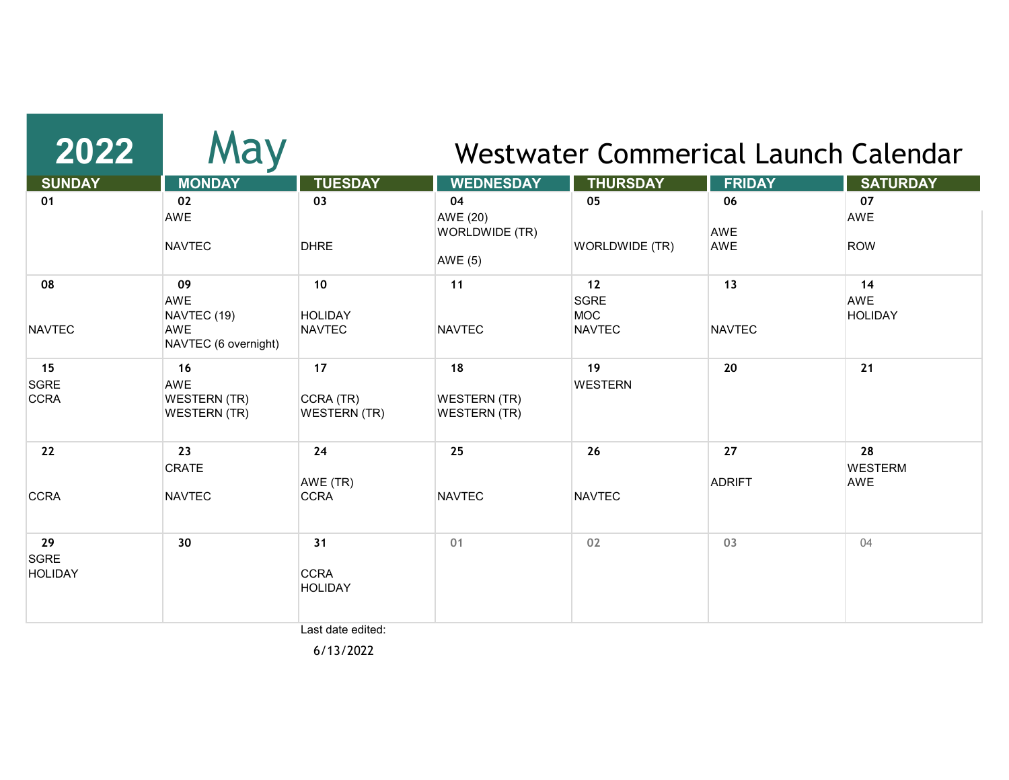| 2022                                | May                                                            |                                        |                                                    |                                                  | Westwater Commerical Launch Calendar |                                    |
|-------------------------------------|----------------------------------------------------------------|----------------------------------------|----------------------------------------------------|--------------------------------------------------|--------------------------------------|------------------------------------|
| <b>SUNDAY</b>                       | <b>MONDAY</b>                                                  | <b>TUESDAY</b>                         | <b>WEDNESDAY</b>                                   | <b>THURSDAY</b>                                  | <b>FRIDAY</b>                        | <b>SATURDAY</b>                    |
| 01                                  | 02<br>AWE<br><b>NAVTEC</b>                                     | 03<br><b>DHRE</b>                      | 04<br>AWE (20)<br>WORLDWIDE (TR)<br><b>AWE (5)</b> | 05<br>WORLDWIDE (TR)                             | 06<br><b>AWE</b><br>AWE              | 07<br>AWE<br><b>ROW</b>            |
| 08<br><b>NAVTEC</b>                 | 09<br><b>AWE</b><br>NAVTEC (19)<br>AWE<br>NAVTEC (6 overnight) | 10<br><b>HOLIDAY</b><br><b>NAVTEC</b>  | 11<br><b>NAVTEC</b>                                | 12<br><b>SGRE</b><br><b>MOC</b><br><b>NAVTEC</b> | 13<br><b>NAVTEC</b>                  | 14<br><b>AWE</b><br><b>HOLIDAY</b> |
| 15<br><b>SGRE</b><br><b>CCRA</b>    | 16<br><b>AWE</b><br><b>WESTERN (TR)</b><br><b>WESTERN (TR)</b> | 17<br>CCRA (TR)<br><b>WESTERN (TR)</b> | 18<br><b>WESTERN (TR)</b><br><b>WESTERN (TR)</b>   | 19<br><b>WESTERN</b>                             | 20                                   | 21                                 |
| 22<br><b>CCRA</b>                   | 23<br><b>CRATE</b><br><b>NAVTEC</b>                            | 24<br>AWE (TR)<br><b>CCRA</b>          | 25<br><b>NAVTEC</b>                                | 26<br><b>NAVTEC</b>                              | 27<br><b>ADRIFT</b>                  | 28<br><b>WESTERM</b><br>AWE        |
| 29<br><b>SGRE</b><br><b>HOLIDAY</b> | 30                                                             | 31<br><b>CCRA</b><br><b>HOLIDAY</b>    | 01                                                 | 02                                               | 03                                   | 04                                 |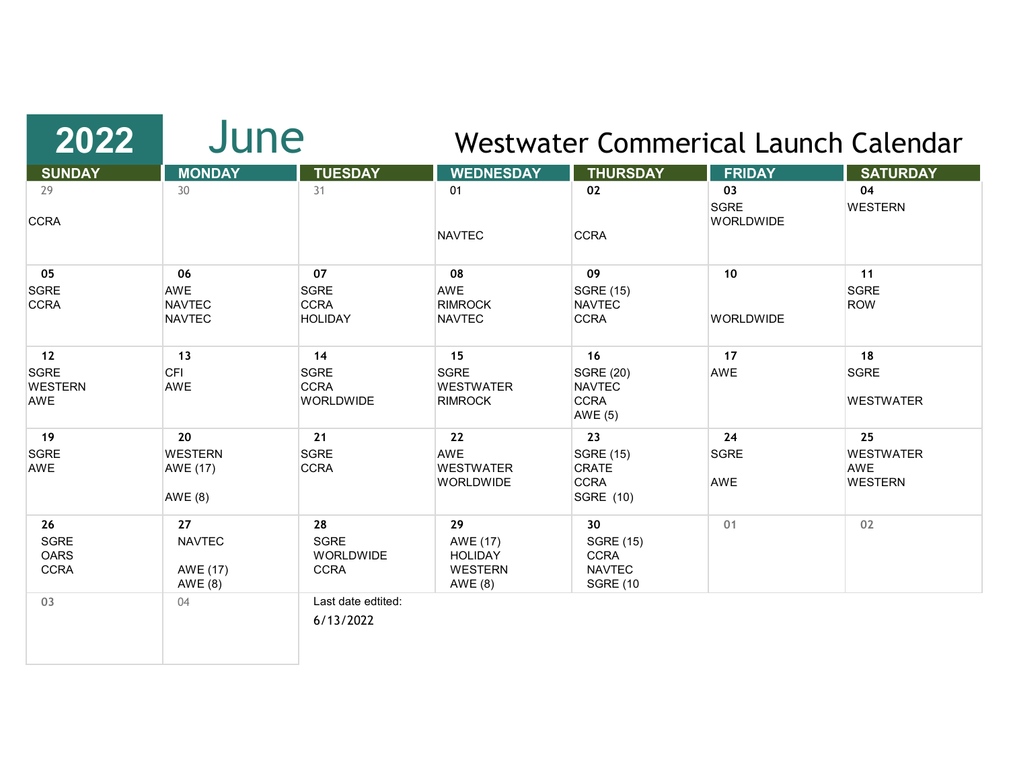| 2022                  | June            |                                 | Westwater Commerical Launch Calendar |                              |                                 |                  |  |
|-----------------------|-----------------|---------------------------------|--------------------------------------|------------------------------|---------------------------------|------------------|--|
| <b>SUNDAY</b>         | <b>MONDAY</b>   | <b>TUESDAY</b>                  | <b>WEDNESDAY</b>                     | <b>THURSDAY</b>              | <b>FRIDAY</b>                   | <b>SATURDAY</b>  |  |
| 29                    | 30              | 31                              | 01                                   | 02                           | 03                              | 04               |  |
| <b>CCRA</b>           |                 |                                 | <b>NAVTEC</b>                        | <b>CCRA</b>                  | <b>SGRE</b><br><b>WORLDWIDE</b> | <b>WESTERN</b>   |  |
| 05                    | 06              | 07                              | 08                                   | 09                           | 10                              | 11               |  |
| <b>SGRE</b>           | AWE             | <b>SGRE</b>                     | <b>AWE</b>                           | <b>SGRE (15)</b>             |                                 | <b>SGRE</b>      |  |
| <b>CCRA</b>           | <b>NAVTEC</b>   | <b>CCRA</b>                     | <b>RIMROCK</b>                       | <b>NAVTEC</b>                |                                 | <b>ROW</b>       |  |
|                       | <b>NAVTEC</b>   | <b>HOLIDAY</b>                  | <b>NAVTEC</b>                        | <b>CCRA</b>                  | <b>WORLDWIDE</b>                |                  |  |
| 12                    | 13              | 14                              | 15                                   | 16                           | 17                              | 18               |  |
| <b>SGRE</b>           | <b>CFI</b>      | <b>SGRE</b>                     | <b>SGRE</b>                          | <b>SGRE (20)</b>             | AWE                             | <b>SGRE</b>      |  |
| <b>WESTERN</b><br>AWE | AWE             | <b>CCRA</b><br><b>WORLDWIDE</b> | <b>WESTWATER</b><br><b>RIMROCK</b>   | <b>NAVTEC</b><br><b>CCRA</b> |                                 | <b>WESTWATER</b> |  |
|                       |                 |                                 |                                      | <b>AWE (5)</b>               |                                 |                  |  |
| 19                    | 20              | 21                              | 22                                   | 23                           | 24                              | 25               |  |
| <b>SGRE</b>           | <b>WESTERN</b>  | <b>SGRE</b>                     | <b>AWE</b>                           | <b>SGRE (15)</b>             | <b>SGRE</b>                     | <b>WESTWATER</b> |  |
| AWE                   | <b>AWE (17)</b> | <b>CCRA</b>                     | <b>WESTWATER</b>                     | CRATE                        |                                 | AWE              |  |
|                       | <b>AWE (8)</b>  |                                 | <b>WORLDWIDE</b>                     | <b>CCRA</b><br>SGRE (10)     | AWE                             | <b>WESTERN</b>   |  |
| 26                    | 27              | 28                              | 29                                   | 30                           | 01                              | 02               |  |
| <b>SGRE</b>           | <b>NAVTEC</b>   | <b>SGRE</b>                     | AWE (17)                             | <b>SGRE (15)</b>             |                                 |                  |  |
| <b>OARS</b>           |                 | WORLDWIDE                       | <b>HOLIDAY</b>                       | <b>CCRA</b>                  |                                 |                  |  |
| <b>CCRA</b>           | AWE (17)        | <b>CCRA</b>                     | <b>WESTERN</b>                       | <b>NAVTEC</b>                |                                 |                  |  |
|                       | AWE (8)         |                                 | AWE (8)                              | <b>SGRE (10</b>              |                                 |                  |  |
| 03                    | 04              | Last date edtited:              |                                      |                              |                                 |                  |  |
|                       |                 | 6/13/2022                       |                                      |                              |                                 |                  |  |
|                       |                 |                                 |                                      |                              |                                 |                  |  |
|                       |                 |                                 |                                      |                              |                                 |                  |  |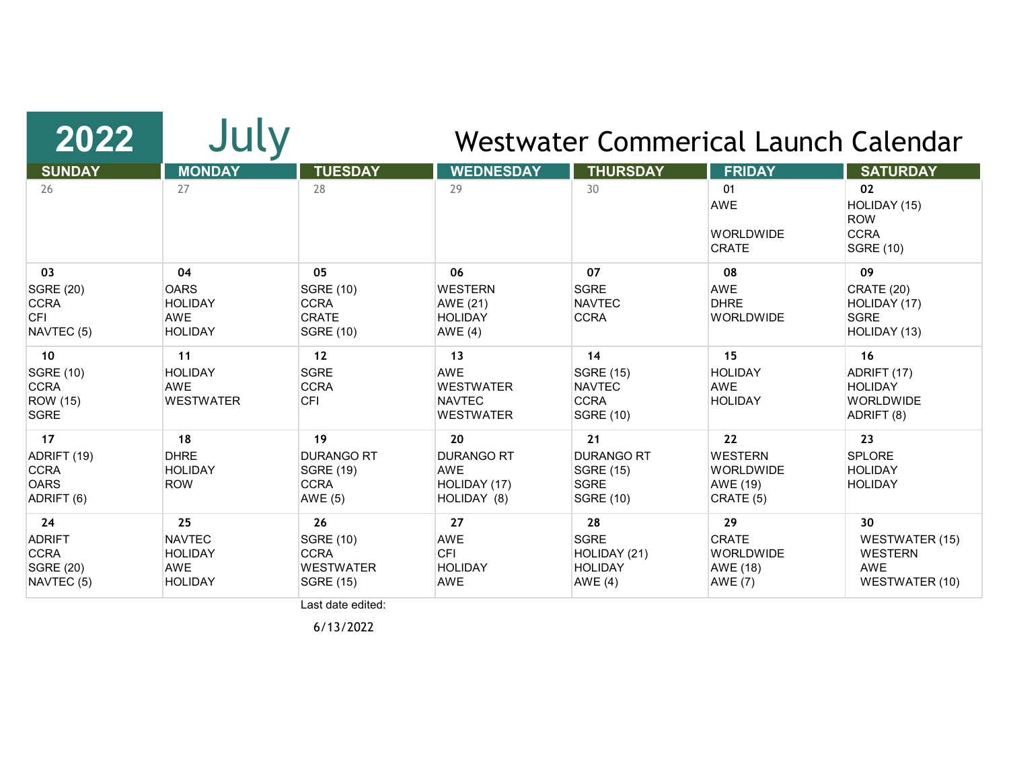| 2022                                                                         | July                                                                  |                                                                                                            |                                                                           |                                                                                | Westwater Commerical Launch Calendar                                        |                                                                                                   |
|------------------------------------------------------------------------------|-----------------------------------------------------------------------|------------------------------------------------------------------------------------------------------------|---------------------------------------------------------------------------|--------------------------------------------------------------------------------|-----------------------------------------------------------------------------|---------------------------------------------------------------------------------------------------|
| <b>SUNDAY</b>                                                                | <b>MONDAY</b>                                                         | <b>TUESDAY</b>                                                                                             | <b>WEDNESDAY</b>                                                          | <b>THURSDAY</b>                                                                | <b>FRIDAY</b>                                                               | <b>SATURDAY</b>                                                                                   |
| 26                                                                           | 27                                                                    | 28                                                                                                         | 29                                                                        | 30                                                                             | 01<br><b>AWE</b><br><b>WORLDWIDE</b><br><b>CRATE</b>                        | 02<br>HOLIDAY (15)<br><b>ROW</b><br><b>CCRA</b><br><b>SGRE (10)</b>                               |
| 03<br><b>SGRE (20)</b><br><b>CCRA</b><br><b>CFI</b><br>NAVTEC <sub>(5)</sub> | 04<br><b>OARS</b><br><b>HOLIDAY</b><br><b>AWE</b><br><b>HOLIDAY</b>   | 05<br><b>SGRE (10)</b><br><b>CCRA</b><br><b>CRATE</b><br><b>SGRE (10)</b>                                  | 06<br><b>WESTERN</b><br>AWE (21)<br><b>HOLIDAY</b><br>AWE $(4)$           | 07<br><b>SGRE</b><br><b>NAVTEC</b><br><b>CCRA</b>                              | 08<br><b>AWE</b><br><b>DHRE</b><br><b>WORLDWIDE</b>                         | 09<br><b>CRATE (20)</b><br>HOLIDAY (17)<br><b>SGRE</b><br>HOLIDAY (13)                            |
| 10<br><b>SGRE (10)</b><br><b>CCRA</b><br><b>ROW</b> (15)<br><b>SGRE</b>      | 11<br><b>HOLIDAY</b><br><b>AWE</b><br><b>WESTWATER</b>                | 12<br><b>SGRE</b><br><b>CCRA</b><br><b>CFI</b>                                                             | 13<br><b>AWE</b><br><b>WESTWATER</b><br><b>NAVTEC</b><br><b>WESTWATER</b> | 14<br><b>SGRE (15)</b><br><b>NAVTEC</b><br><b>CCRA</b><br><b>SGRE (10)</b>     | 15<br><b>HOLIDAY</b><br>AWE<br><b>HOLIDAY</b>                               | 16<br>ADRIFT (17)<br><b>HOLIDAY</b><br><b>WORLDWIDE</b><br>ADRIFT (8)                             |
| 17<br>ADRIFT (19)<br><b>CCRA</b><br><b>OARS</b><br>ADRIFT (6)                | 18<br><b>DHRE</b><br><b>HOLIDAY</b><br><b>ROW</b>                     | 19<br><b>DURANGO RT</b><br><b>SGRE (19)</b><br><b>CCRA</b><br>AWE (5)                                      | 20<br><b>DURANGO RT</b><br><b>AWE</b><br>HOLIDAY (17)<br>HOLIDAY (8)      | 21<br><b>DURANGO RT</b><br><b>SGRE (15)</b><br><b>SGRE</b><br><b>SGRE (10)</b> | 22<br><b>WESTERN</b><br><b>WORLDWIDE</b><br>AWE (19)<br>CRATE (5)           | 23<br><b>SPLORE</b><br><b>HOLIDAY</b><br><b>HOLIDAY</b>                                           |
| 24<br><b>ADRIFT</b><br><b>CCRA</b><br><b>SGRE (20)</b><br>NAVTEC (5)         | 25<br><b>NAVTEC</b><br><b>HOLIDAY</b><br><b>AWE</b><br><b>HOLIDAY</b> | 26<br><b>SGRE (10)</b><br><b>CCRA</b><br><b>WESTWATER</b><br><b>SGRE (15)</b><br>والمستقاله مستسمله فسيسرأ | 27<br><b>AWE</b><br><b>CFI</b><br><b>HOLIDAY</b><br><b>AWE</b>            | 28<br><b>SGRE</b><br>HOLIDAY (21)<br><b>HOLIDAY</b><br><b>AWE (4)</b>          | 29<br><b>CRATE</b><br><b>WORLDWIDE</b><br><b>AWE (18)</b><br><b>AWE (7)</b> | 30 <sup>°</sup><br><b>WESTWATER (15)</b><br><b>WESTERN</b><br><b>AWE</b><br><b>WESTWATER (10)</b> |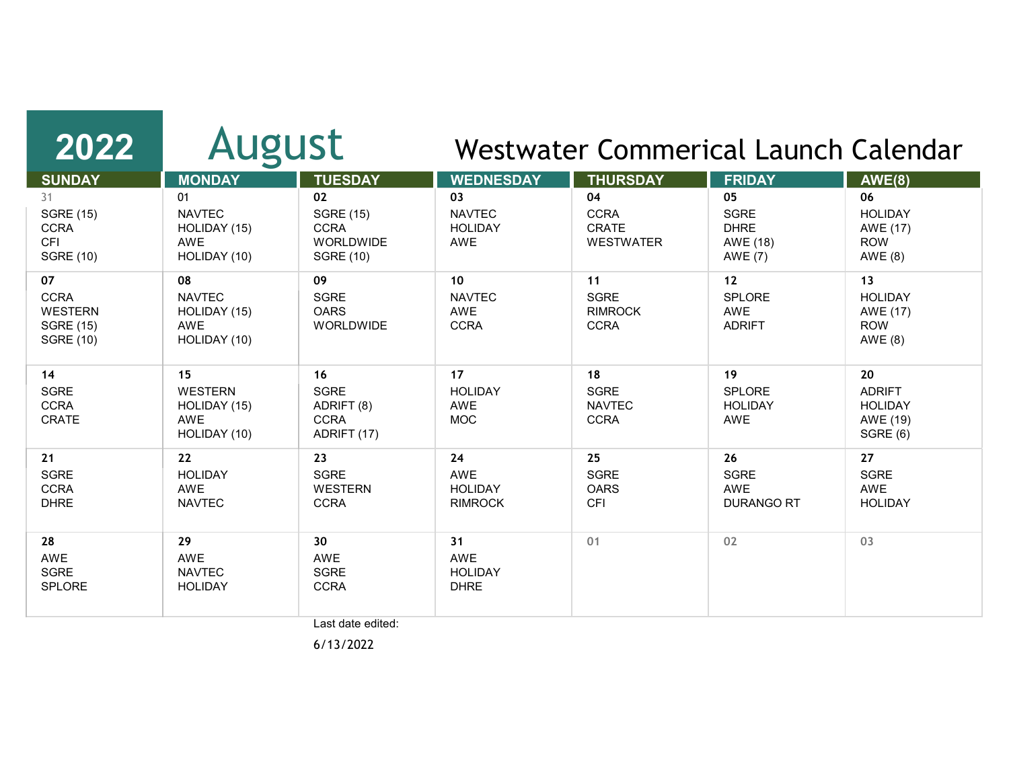| 2022                                                                        | <b>August</b>                                                      |                                                                               | Westwater Commerical Launch Calendar                   |                                                       |                                                                |                                                                         |
|-----------------------------------------------------------------------------|--------------------------------------------------------------------|-------------------------------------------------------------------------------|--------------------------------------------------------|-------------------------------------------------------|----------------------------------------------------------------|-------------------------------------------------------------------------|
| <b>SUNDAY</b>                                                               | <b>MONDAY</b>                                                      | <b>TUESDAY</b>                                                                | <b>WEDNESDAY</b>                                       | <b>THURSDAY</b>                                       | <b>FRIDAY</b>                                                  | <b>AWE(8)</b>                                                           |
| 31<br><b>SGRE (15)</b><br><b>CCRA</b><br><b>CFI</b><br><b>SGRE (10)</b>     | 01<br><b>NAVTEC</b><br>HOLIDAY (15)<br><b>AWE</b><br>HOLIDAY (10)  | 02<br><b>SGRE (15)</b><br><b>CCRA</b><br><b>WORLDWIDE</b><br><b>SGRE (10)</b> | 03<br><b>NAVTEC</b><br><b>HOLIDAY</b><br>AWE           | 04<br><b>CCRA</b><br><b>CRATE</b><br><b>WESTWATER</b> | 05<br><b>SGRE</b><br><b>DHRE</b><br>AWE (18)<br><b>AWE (7)</b> | 06<br><b>HOLIDAY</b><br><b>AWE (17)</b><br><b>ROW</b><br><b>AWE (8)</b> |
| 07<br><b>CCRA</b><br><b>WESTERN</b><br><b>SGRE (15)</b><br><b>SGRE (10)</b> | 08<br><b>NAVTEC</b><br>HOLIDAY (15)<br><b>AWE</b><br>HOLIDAY (10)  | 09<br><b>SGRE</b><br><b>OARS</b><br>WORLDWIDE                                 | 10 <sup>°</sup><br><b>NAVTEC</b><br>AWE<br><b>CCRA</b> | 11<br><b>SGRE</b><br><b>RIMROCK</b><br><b>CCRA</b>    | 12<br><b>SPLORE</b><br><b>AWE</b><br><b>ADRIFT</b>             | 13<br><b>HOLIDAY</b><br>AWE (17)<br><b>ROW</b><br><b>AWE (8)</b>        |
| 14<br><b>SGRE</b><br><b>CCRA</b><br>CRATE                                   | 15<br><b>WESTERN</b><br>HOLIDAY (15)<br><b>AWE</b><br>HOLIDAY (10) | 16<br><b>SGRE</b><br>ADRIFT (8)<br><b>CCRA</b><br>ADRIFT (17)                 | 17<br><b>HOLIDAY</b><br>AWE<br><b>MOC</b>              | 18<br><b>SGRE</b><br><b>NAVTEC</b><br><b>CCRA</b>     | 19<br><b>SPLORE</b><br><b>HOLIDAY</b><br>AWE                   | 20<br><b>ADRIFT</b><br><b>HOLIDAY</b><br>AWE (19)<br>SGRE (6)           |
| 21<br><b>SGRE</b><br><b>CCRA</b><br><b>DHRE</b>                             | 22<br><b>HOLIDAY</b><br><b>AWE</b><br><b>NAVTEC</b>                | 23<br><b>SGRE</b><br><b>WESTERN</b><br><b>CCRA</b>                            | 24<br><b>AWE</b><br><b>HOLIDAY</b><br><b>RIMROCK</b>   | 25<br><b>SGRE</b><br><b>OARS</b><br><b>CFI</b>        | 26<br><b>SGRE</b><br><b>AWE</b><br><b>DURANGO RT</b>           | 27<br><b>SGRE</b><br><b>AWE</b><br><b>HOLIDAY</b>                       |
| 28<br><b>AWE</b><br><b>SGRE</b><br>SPLORE                                   | 29<br><b>AWE</b><br><b>NAVTEC</b><br><b>HOLIDAY</b>                | 30<br><b>AWE</b><br><b>SGRE</b><br><b>CCRA</b>                                | 31<br><b>AWE</b><br><b>HOLIDAY</b><br><b>DHRE</b>      | 01                                                    | 02                                                             | 03                                                                      |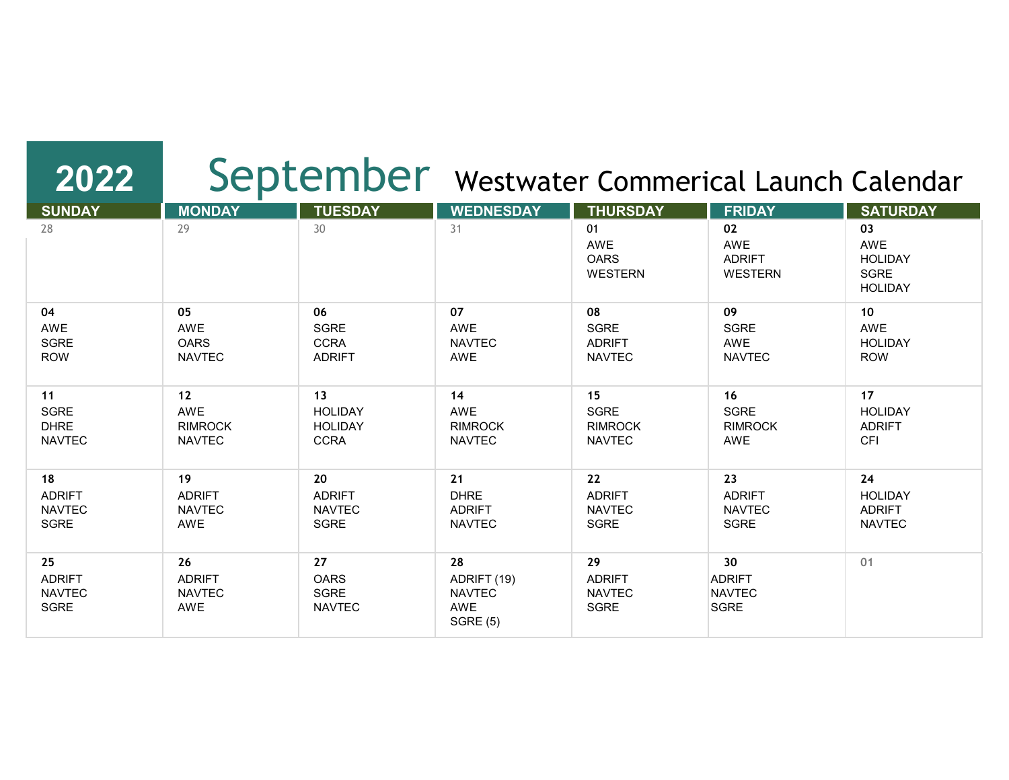## 2022 | September Westwater Commerical Launch Calendar

| <b>SUNDAY</b>                                | <b>MONDAY</b>                               | <b>TUESDAY</b>                             | <b>WEDNESDAY</b>                                             | <b>THURSDAY</b>                              | <b>FRIDAY</b>                                                    | <b>SATURDAY</b>                                       |
|----------------------------------------------|---------------------------------------------|--------------------------------------------|--------------------------------------------------------------|----------------------------------------------|------------------------------------------------------------------|-------------------------------------------------------|
| 28                                           | 29                                          | 30                                         | 31                                                           | 01<br>AWE<br><b>OARS</b><br><b>WESTERN</b>   | 02<br>AWE<br><b>ADRIFT</b><br><b>WESTERN</b>                     | 03<br>AWE<br><b>HOLIDAY</b><br>SGRE<br><b>HOLIDAY</b> |
| 04                                           | 05                                          | 06                                         | 07                                                           | 08                                           | 09                                                               | 10                                                    |
| AWE                                          | AWE                                         | <b>SGRE</b>                                | AWE                                                          | SGRE                                         | <b>SGRE</b>                                                      | AWE                                                   |
| SGRE                                         | <b>OARS</b>                                 | <b>CCRA</b>                                | <b>NAVTEC</b>                                                | <b>ADRIFT</b>                                | <b>AWE</b>                                                       | <b>HOLIDAY</b>                                        |
| <b>ROW</b>                                   | <b>NAVTEC</b>                               | <b>ADRIFT</b>                              | AWE                                                          | <b>NAVTEC</b>                                | <b>NAVTEC</b>                                                    | <b>ROW</b>                                            |
| 11                                           | 12                                          | 13                                         | 14                                                           | 15                                           | 16                                                               | 17                                                    |
| SGRE                                         | AWE                                         | <b>HOLIDAY</b>                             | <b>AWE</b>                                                   | SGRE                                         | <b>SGRE</b>                                                      | <b>HOLIDAY</b>                                        |
| <b>DHRE</b>                                  | <b>RIMROCK</b>                              | <b>HOLIDAY</b>                             | <b>RIMROCK</b>                                               | <b>RIMROCK</b>                               | <b>RIMROCK</b>                                                   | <b>ADRIFT</b>                                         |
| <b>NAVTEC</b>                                | <b>NAVTEC</b>                               | <b>CCRA</b>                                | <b>NAVTEC</b>                                                | <b>NAVTEC</b>                                | AWE                                                              | <b>CFI</b>                                            |
| 18                                           | 19                                          | 20                                         | 21                                                           | 22                                           | 23                                                               | 24                                                    |
| <b>ADRIFT</b>                                | <b>ADRIFT</b>                               | <b>ADRIFT</b>                              | <b>DHRE</b>                                                  | <b>ADRIFT</b>                                | <b>ADRIFT</b>                                                    | <b>HOLIDAY</b>                                        |
| <b>NAVTEC</b>                                | <b>NAVTEC</b>                               | <b>NAVTEC</b>                              | <b>ADRIFT</b>                                                | <b>NAVTEC</b>                                | <b>NAVTEC</b>                                                    | <b>ADRIFT</b>                                         |
| <b>SGRE</b>                                  | AWE                                         | SGRE                                       | <b>NAVTEC</b>                                                | <b>SGRE</b>                                  | <b>SGRE</b>                                                      | <b>NAVTEC</b>                                         |
| 25<br><b>ADRIFT</b><br><b>NAVTEC</b><br>SGRE | 26<br><b>ADRIFT</b><br><b>NAVTEC</b><br>AWE | 27<br><b>OARS</b><br>SGRE<br><b>NAVTEC</b> | 28<br>ADRIFT (19)<br><b>NAVTEC</b><br>AWE<br><b>SGRE (5)</b> | 29<br><b>ADRIFT</b><br><b>NAVTEC</b><br>SGRE | 30 <sub>o</sub><br><b>ADRIFT</b><br><b>NAVTEC</b><br><b>SGRE</b> | 01                                                    |